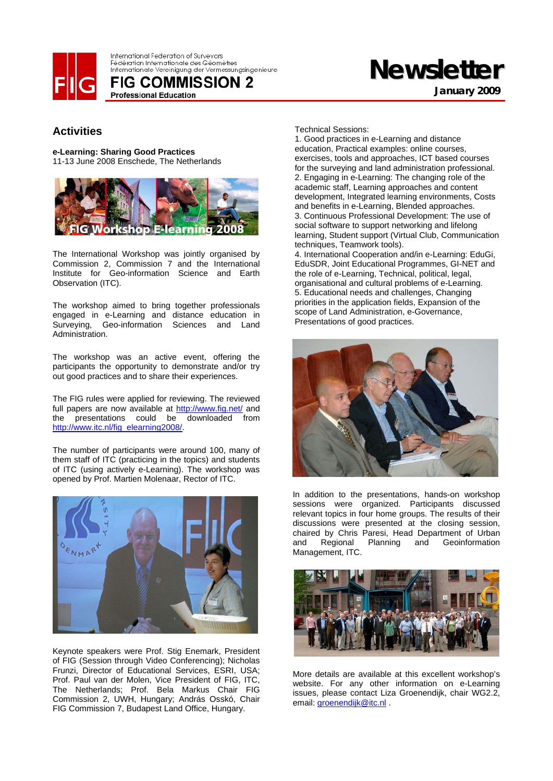

International Federation of Surveyors Fédération Internationale des Géomètres Internationale Vereinigung der Vermessungsingenieure

**FIG COMMISSION 2 Professional Education** 

# **January 2009**

**Newsletter**

# **Activities**

**e-Learning: Sharing Good Practices**  11-13 June 2008 Enschede, The Netherlands



The International Workshop was jointly organised by Commission 2, Commission 7 and the International Institute for Geo-information Science and Earth Observation (ITC).

The workshop aimed to bring together professionals engaged in e-Learning and distance education in Surveying, Geo-information Sciences and Land Administration.

The workshop was an active event, offering the participants the opportunity to demonstrate and/or try out good practices and to share their experiences.

The FIG rules were applied for reviewing. The reviewed full papers are now available at http://www.fig.net/ and the presentations could be downloaded from http://www.itc.nl/fig\_elearning2008/.

The number of participants were around 100, many of them staff of ITC (practicing in the topics) and students of ITC (using actively e-Learning). The workshop was opened by Prof. Martien Molenaar, Rector of ITC.



Keynote speakers were Prof. Stig Enemark, President of FIG (Session through Video Conferencing); Nicholas Frunzi, Director of Educational Services, ESRI, USA; Prof. Paul van der Molen, Vice President of FIG, ITC, The Netherlands; Prof. Bela Markus Chair FIG Commission 2, UWH, Hungary; András Osskó, Chair FIG Commission 7, Budapest Land Office, Hungary.

Technical Sessions:

1. Good practices in e-Learning and distance education, Practical examples: online courses, exercises, tools and approaches, ICT based courses for the surveying and land administration professional. 2. Engaging in e-Learning: The changing role of the academic staff, Learning approaches and content development, Integrated learning environments, Costs and benefits in e-Learning, Blended approaches. 3. Continuous Professional Development: The use of social software to support networking and lifelong learning, Student support (Virtual Club, Communication techniques, Teamwork tools).

4. International Cooperation and/in e-Learning: EduGi, EduSDR, Joint Educational Programmes, GI-NET and the role of e-Learning, Technical, political, legal, organisational and cultural problems of e-Learning. 5. Educational needs and challenges, Changing priorities in the application fields, Expansion of the scope of Land Administration, e-Governance, Presentations of good practices.



In addition to the presentations, hands-on workshop sessions were organized. Participants discussed relevant topics in four home groups. The results of their discussions were presented at the closing session, chaired by Chris Paresi, Head Department of Urban<br>and Regional Planning and Geoinformation and Regional Planning and Geoinformation Management, ITC.



More details are available at this excellent workshop's website. For any other information on e-Learning issues, please contact Liza Groenendijk, chair WG2.2, email: groenendijk@itc.nl .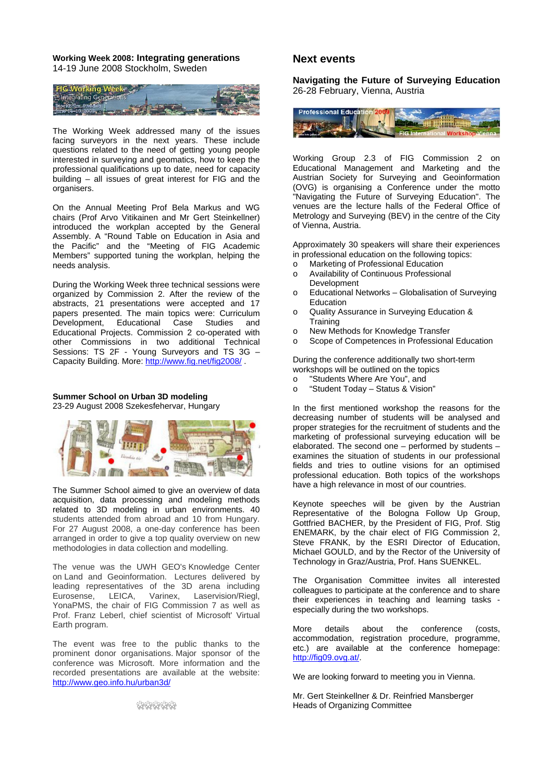#### **Working Week 2008: Integrating generations** 14-19 June 2008 Stockholm, Sweden



The Working Week addressed many of the issues facing surveyors in the next years. These include questions related to the need of getting young people interested in surveying and geomatics, how to keep the professional qualifications up to date, need for capacity building – all issues of great interest for FIG and the organisers.

On the Annual Meeting Prof Bela Markus and WG chairs (Prof Arvo Vitikainen and Mr Gert Steinkellner) introduced the workplan accepted by the General Assembly. A "Round Table on Education in Asia and the Pacific" and the "Meeting of FIG Academic Members" supported tuning the workplan, helping the needs analysis.

During the Working Week three technical sessions were organized by Commission 2. After the review of the abstracts, 21 presentations were accepted and 17 papers presented. The main topics were: Curriculum Development, Educational Case Studies and Educational Projects. Commission 2 co-operated with other Commissions in two additional Technical Sessions: TS 2F - Young Surveyors and TS 3G – Capacity Building. More: http://www.fig.net/fig2008/ .

### **Summer School on Urban 3D modeling**  23-29 August 2008 Szekesfehervar, Hungary



The Summer School aimed to give an overview of data acquisition, data processing and modeling methods related to 3D modeling in urban environments. 40 students attended from abroad and 10 from Hungary. For 27 August 2008, a one-day conference has been arranged in order to give a top quality overview on new methodologies in data collection and modelling.

The venue was the UWH GEO's Knowledge Center on Land and Geoinformation. Lectures delivered by leading representatives of the 3D arena including Eurosense, LEICA, Varinex, Laservision/Riegl, YonaPMS, the chair of FIG Commission 7 as well as Prof. Franz Leberl, chief scientist of Microsoft' Virtual Earth program.

The event was free to the public thanks to the prominent donor organisations. Major sponsor of the conference was Microsoft. More information and the recorded presentations are available at the website: http://www.geo.info.hu/urban3d/

#### \*\*\*\*\*\*

### **Next events**

**Navigating the Future of Surveying Education**  26-28 February, Vienna, Austria



Working Group 2.3 of FIG Commission 2 on Educational Management and Marketing and the Austrian Society for Surveying and Geoinformation (OVG) is organising a Conference under the motto "Navigating the Future of Surveying Education". The venues are the lecture halls of the Federal Office of Metrology and Surveying (BEV) in the centre of the City of Vienna, Austria.

Approximately 30 speakers will share their experiences in professional education on the following topics:

- o Marketing of Professional Education
- o Availability of Continuous Professional Development
- o Educational Networks Globalisation of Surveying Education
- o Quality Assurance in Surveying Education & **Training**
- o New Methods for Knowledge Transfer
- o Scope of Competences in Professional Education

During the conference additionally two short-term workshops will be outlined on the topics

- o "Students Where Are You", and
- o "Student Today Status & Vision"

In the first mentioned workshop the reasons for the decreasing number of students will be analysed and proper strategies for the recruitment of students and the marketing of professional surveying education will be elaborated. The second one – performed by students – examines the situation of students in our professional fields and tries to outline visions for an optimised professional education. Both topics of the workshops have a high relevance in most of our countries.

Keynote speeches will be given by the Austrian Representative of the Bologna Follow Up Group, Gottfried BACHER, by the President of FIG, Prof. Stig ENEMARK, by the chair elect of FIG Commission 2, Steve FRANK, by the ESRI Director of Education, Michael GOULD, and by the Rector of the University of Technology in Graz/Austria, Prof. Hans SUENKEL.

The Organisation Committee invites all interested colleagues to participate at the conference and to share their experiences in teaching and learning tasks especially during the two workshops.

More details about the conference (costs, accommodation, registration procedure, programme, etc.) are available at the conference homepage: http://fig09.ovg.at/.

We are looking forward to meeting you in Vienna.

Mr. Gert Steinkellner & Dr. Reinfried Mansberger Heads of Organizing Committee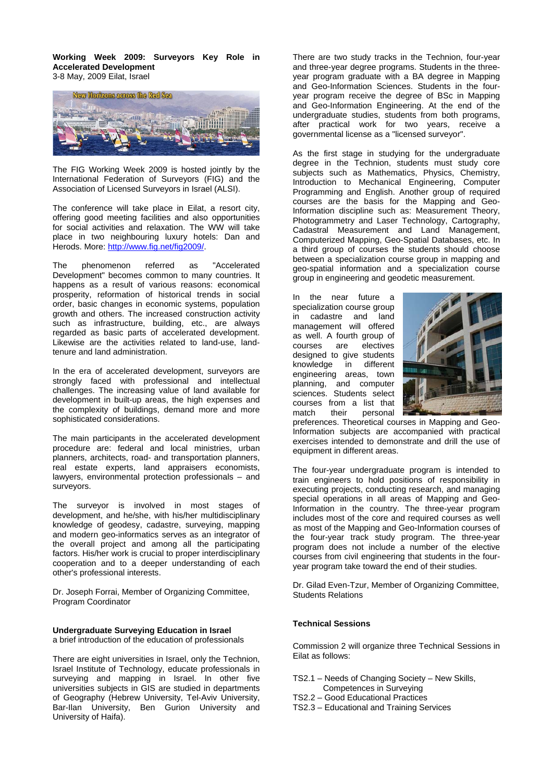**Working Week 2009: Surveyors Key Role in Accelerated Development**  3-8 May, 2009 Eilat, Israel



The FIG Working Week 2009 is hosted jointly by the International Federation of Surveyors (FIG) and the Association of Licensed Surveyors in Israel (ALSI).

The conference will take place in Eilat, a resort city, offering good meeting facilities and also opportunities for social activities and relaxation. The WW will take place in two neighbouring luxury hotels: Dan and Herods. More: http://www.fig.net/fig2009/.

The phenomenon referred as "Accelerated Development" becomes common to many countries. It happens as a result of various reasons: economical prosperity, reformation of historical trends in social order, basic changes in economic systems, population growth and others. The increased construction activity such as infrastructure, building, etc., are always regarded as basic parts of accelerated development. Likewise are the activities related to land-use, landtenure and land administration.

In the era of accelerated development, surveyors are strongly faced with professional and intellectual challenges. The increasing value of land available for development in built-up areas, the high expenses and the complexity of buildings, demand more and more sophisticated considerations.

The main participants in the accelerated development procedure are: federal and local ministries, urban planners, architects, road- and transportation planners, real estate experts, land appraisers economists, lawyers, environmental protection professionals – and surveyors.

The surveyor is involved in most stages of development, and he/she, with his/her multidisciplinary knowledge of geodesy, cadastre, surveying, mapping and modern geo-informatics serves as an integrator of the overall project and among all the participating factors. His/her work is crucial to proper interdisciplinary cooperation and to a deeper understanding of each other's professional interests.

Dr. Joseph Forrai, Member of Organizing Committee, Program Coordinator

#### **Undergraduate Surveying Education in Israel**

a brief introduction of the education of professionals

There are eight universities in Israel, only the Technion, Israel Institute of Technology, educate professionals in surveying and mapping in Israel. In other five universities subjects in GIS are studied in departments of Geography (Hebrew University, Tel-Aviv University, Bar-Ilan University, Ben Gurion University and University of Haifa).

There are two study tracks in the Technion, four-year and three-year degree programs. Students in the threeyear program graduate with a BA degree in Mapping and Geo-Information Sciences. Students in the fouryear program receive the degree of BSc in Mapping and Geo-Information Engineering. At the end of the undergraduate studies, students from both programs, after practical work for two years, receive a governmental license as a "licensed surveyor".

As the first stage in studying for the undergraduate degree in the Technion, students must study core subjects such as Mathematics, Physics, Chemistry, Introduction to Mechanical Engineering, Computer Programming and English. Another group of required courses are the basis for the Mapping and Geo-Information discipline such as: Measurement Theory, Photogrammetry and Laser Technology, Cartography, Cadastral Measurement and Land Management, Computerized Mapping, Geo-Spatial Databases, etc. In a third group of courses the students should choose between a specialization course group in mapping and geo-spatial information and a specialization course group in engineering and geodetic measurement.

In the near future a specialization course group in cadastre and land management will offered as well. A fourth group of courses are electives designed to give students<br>knowledge in different knowledge in different engineering areas, town planning, and computer sciences. Students select courses from a list that match their personal



preferences. Theoretical courses in Mapping and Geo-Information subjects are accompanied with practical exercises intended to demonstrate and drill the use of equipment in different areas.

The four-year undergraduate program is intended to train engineers to hold positions of responsibility in executing projects, conducting research, and managing special operations in all areas of Mapping and Geo-Information in the country. The three-year program includes most of the core and required courses as well as most of the Mapping and Geo-Information courses of the four-year track study program. The three-year program does not include a number of the elective courses from civil engineering that students in the fouryear program take toward the end of their studies.

Dr. Gilad Even-Tzur, Member of Organizing Committee, Students Relations

### **Technical Sessions**

Commission 2 will organize three Technical Sessions in Eilat as follows:

- TS2.1 Needs of Changing Society New Skills,
- Competences in Surveying
- TS2.2 Good Educational Practices
- TS2.3 Educational and Training Services